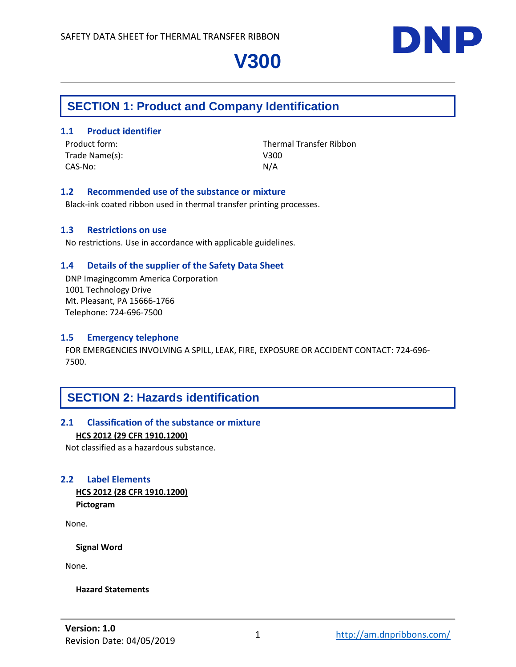

# **SECTION 1: Product and Company Identification**

### **1.1 Product identifier**

Trade Name(s): V300 CAS-No: N/A

Product form: Thermal Transfer Ribbon

### **1.2 Recommended use of the substance or mixture**

Black-ink coated ribbon used in thermal transfer printing processes.

### **1.3 Restrictions on use**

No restrictions. Use in accordance with applicable guidelines.

### **1.4 Details of the supplier of the Safety Data Sheet**

DNP Imagingcomm America Corporation 1001 Technology Drive Mt. Pleasant, PA 15666-1766 Telephone: 724-696-7500

### **1.5 Emergency telephone**

FOR EMERGENCIES INVOLVING A SPILL, LEAK, FIRE, EXPOSURE OR ACCIDENT CONTACT: 724-696- 7500.

# **SECTION 2: Hazards identification**

### **2.1 Classification of the substance or mixture HCS 2012 (29 CFR 1910.1200)**

Not classified as a hazardous substance.

### **2.2 Label Elements**

**HCS 2012 (28 CFR 1910.1200) Pictogram**

None.

**Signal Word**

None.

#### **Hazard Statements**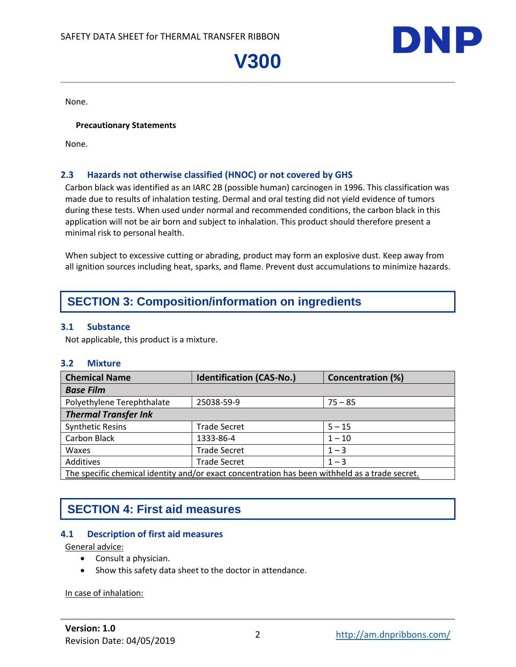

None.

#### **Precautionary Statements**

None.

## **2.3 Hazards not otherwise classified (HNOC) or not covered by GHS**

Carbon black was identified as an IARC 2B (possible human) carcinogen in 1996. This classification was made due to results of inhalation testing. Dermal and oral testing did not yield evidence of tumors during these tests. When used under normal and recommended conditions, the carbon black in this application will not be air born and subject to inhalation. This product should therefore present a minimal risk to personal health.

When subject to excessive cutting or abrading, product may form an explosive dust. Keep away from all ignition sources including heat, sparks, and flame. Prevent dust accumulations to minimize hazards.

# **SECTION 3: Composition/information on ingredients**

#### **3.1 Substance**

Not applicable, this product is a mixture.

#### **3.2 Mixture**

| <b>Chemical Name</b>                                                                           | <b>Identification (CAS-No.)</b> | <b>Concentration (%)</b> |
|------------------------------------------------------------------------------------------------|---------------------------------|--------------------------|
| <b>Base Film</b>                                                                               |                                 |                          |
| Polyethylene Terephthalate                                                                     | 25038-59-9                      | $75 - 85$                |
| <b>Thermal Transfer Ink</b>                                                                    |                                 |                          |
| <b>Synthetic Resins</b>                                                                        | <b>Trade Secret</b>             | $5 - 15$                 |
| Carbon Black                                                                                   | 1333-86-4                       | $1 - 10$                 |
| Waxes                                                                                          | <b>Trade Secret</b>             | $1 - 3$                  |
| Additives                                                                                      | <b>Trade Secret</b>             | $1 - 3$                  |
| The specific chemical identity and/or exact concentration has been withheld as a trade secret. |                                 |                          |

# **SECTION 4: First aid measures**

### **4.1 Description of first aid measures**

General advice:

- Consult a physician.
- Show this safety data sheet to the doctor in attendance.

In case of inhalation: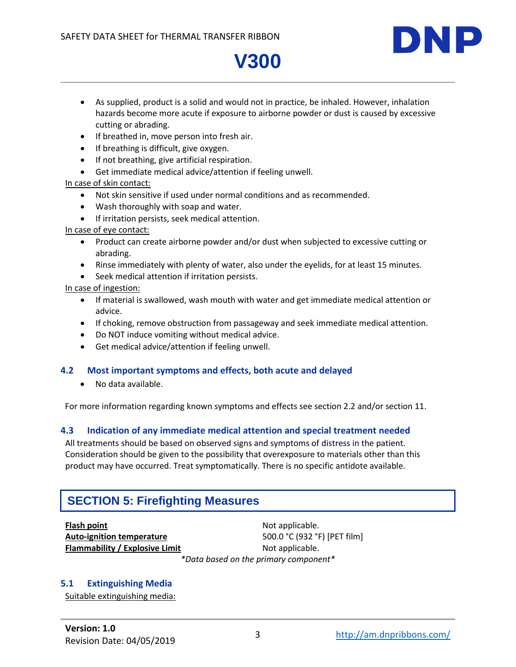

- As supplied, product is a solid and would not in practice, be inhaled. However, inhalation hazards become more acute if exposure to airborne powder or dust is caused by excessive cutting or abrading.
- If breathed in, move person into fresh air.
- If breathing is difficult, give oxygen.
- If not breathing, give artificial respiration.
- Get immediate medical advice/attention if feeling unwell.

### In case of skin contact:

- Not skin sensitive if used under normal conditions and as recommended.
- Wash thoroughly with soap and water.
- **•** If irritation persists, seek medical attention.

In case of eye contact:

- Product can create airborne powder and/or dust when subjected to excessive cutting or abrading.
- Rinse immediately with plenty of water, also under the eyelids, for at least 15 minutes.
- Seek medical attention if irritation persists.

In case of ingestion:

- If material is swallowed, wash mouth with water and get immediate medical attention or advice.
- If choking, remove obstruction from passageway and seek immediate medical attention.
- Do NOT induce vomiting without medical advice.
- Get medical advice/attention if feeling unwell.

## **4.2 Most important symptoms and effects, both acute and delayed**

No data available.

For more information regarding known symptoms and effects see section 2.2 and/or section 11.

## **4.3 Indication of any immediate medical attention and special treatment needed**

All treatments should be based on observed signs and symptoms of distress in the patient. Consideration should be given to the possibility that overexposure to materials other than this product may have occurred. Treat symptomatically. There is no specific antidote available.

# **SECTION 5: Firefighting Measures**

**Flash point Not applicable. Flammability / Explosive Limit** Not applicable.

**Auto-ignition temperature** 500.0 °C (932 °F) [PET film] *\*Data based on the primary component\**

## **5.1 Extinguishing Media**

Suitable extinguishing media: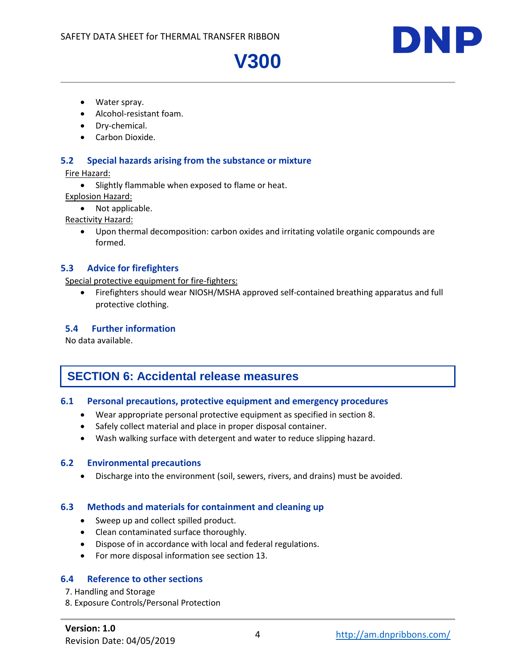

- Water spray.
- Alcohol-resistant foam.
- Dry-chemical.
- Carbon Dioxide.

### **5.2 Special hazards arising from the substance or mixture**

Fire Hazard:

• Slightly flammable when exposed to flame or heat.

Explosion Hazard:

• Not applicable.

Reactivity Hazard:

 Upon thermal decomposition: carbon oxides and irritating volatile organic compounds are formed.

### **5.3 Advice for firefighters**

Special protective equipment for fire-fighters:

 Firefighters should wear NIOSH/MSHA approved self-contained breathing apparatus and full protective clothing.

### **5.4 Further information**

No data available.

# **SECTION 6: Accidental release measures**

### **6.1 Personal precautions, protective equipment and emergency procedures**

- Wear appropriate personal protective equipment as specified in section 8.
- Safely collect material and place in proper disposal container.
- Wash walking surface with detergent and water to reduce slipping hazard.

### **6.2 Environmental precautions**

Discharge into the environment (soil, sewers, rivers, and drains) must be avoided.

### **6.3 Methods and materials for containment and cleaning up**

- Sweep up and collect spilled product.
- Clean contaminated surface thoroughly.
- Dispose of in accordance with local and federal regulations.
- For more disposal information see section 13.

### **6.4 Reference to other sections**

- 7. Handling and Storage
- 8. Exposure Controls/Personal Protection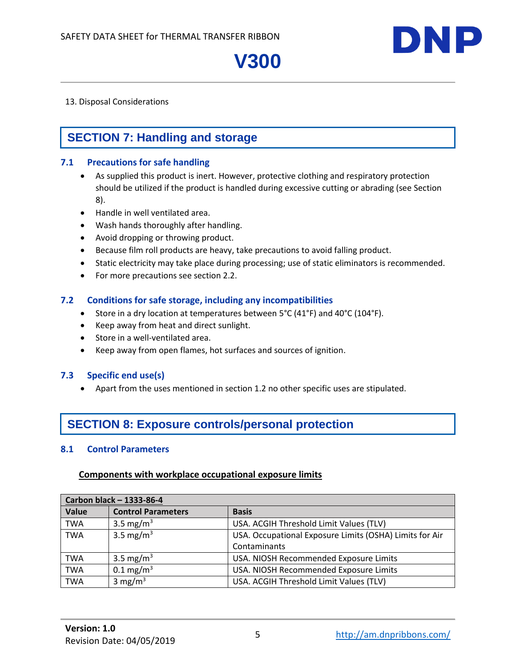

### 13. Disposal Considerations

# **SECTION 7: Handling and storage**

### **7.1 Precautions for safe handling**

- As supplied this product is inert. However, protective clothing and respiratory protection should be utilized if the product is handled during excessive cutting or abrading (see Section 8).
- Handle in well ventilated area.
- Wash hands thoroughly after handling.
- Avoid dropping or throwing product.
- Because film roll products are heavy, take precautions to avoid falling product.
- Static electricity may take place during processing; use of static eliminators is recommended.
- For more precautions see section 2.2.

### **7.2 Conditions for safe storage, including any incompatibilities**

- Store in a dry location at temperatures between 5°C (41°F) and 40°C (104°F).
- Keep away from heat and direct sunlight.
- Store in a well-ventilated area.
- Keep away from open flames, hot surfaces and sources of ignition.

## **7.3 Specific end use(s)**

Apart from the uses mentioned in section 1.2 no other specific uses are stipulated.

# **SECTION 8: Exposure controls/personal protection**

## **8.1 Control Parameters**

### **Components with workplace occupational exposure limits**

| Carbon black - 1333-86-4 |                           |                                                         |
|--------------------------|---------------------------|---------------------------------------------------------|
| Value                    | <b>Control Parameters</b> | <b>Basis</b>                                            |
| <b>TWA</b>               | 3.5 mg/m <sup>3</sup>     | USA. ACGIH Threshold Limit Values (TLV)                 |
| <b>TWA</b>               | 3.5 mg/m <sup>3</sup>     | USA. Occupational Exposure Limits (OSHA) Limits for Air |
|                          |                           | Contaminants                                            |
| <b>TWA</b>               | 3.5 mg/m <sup>3</sup>     | USA. NIOSH Recommended Exposure Limits                  |
| <b>TWA</b>               | $0.1 \,\mathrm{mg/m^3}$   | USA. NIOSH Recommended Exposure Limits                  |
| <b>TWA</b>               | 3 mg/m $3$                | USA. ACGIH Threshold Limit Values (TLV)                 |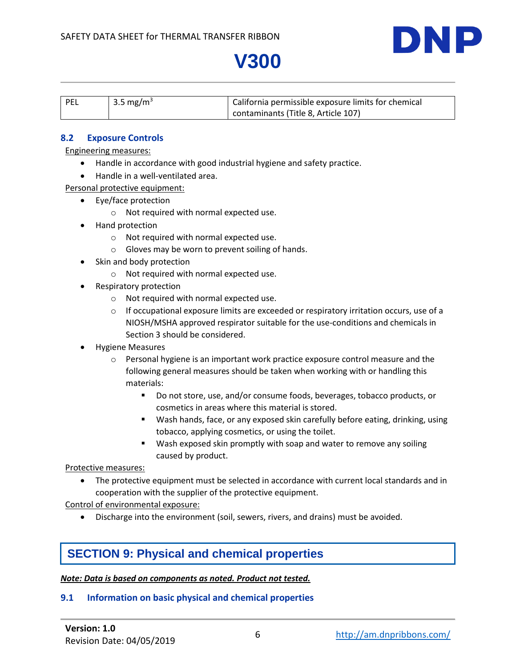

| $ $ PEL | 3.5 mg/m <sup>3</sup> | California permissible exposure limits for chemical |
|---------|-----------------------|-----------------------------------------------------|
|         |                       | contaminants (Title 8, Article 107)                 |

### **8.2 Exposure Controls**

### Engineering measures:

- Handle in accordance with good industrial hygiene and safety practice.
- Handle in a well-ventilated area.

Personal protective equipment:

- Eye/face protection
	- o Not required with normal expected use.
- Hand protection
	- o Not required with normal expected use.
	- o Gloves may be worn to prevent soiling of hands.
- Skin and body protection
	- o Not required with normal expected use.
- Respiratory protection
	- o Not required with normal expected use.
	- $\circ$  If occupational exposure limits are exceeded or respiratory irritation occurs, use of a NIOSH/MSHA approved respirator suitable for the use-conditions and chemicals in Section 3 should be considered.
- Hygiene Measures
	- $\circ$  Personal hygiene is an important work practice exposure control measure and the following general measures should be taken when working with or handling this materials:
		- Do not store, use, and/or consume foods, beverages, tobacco products, or cosmetics in areas where this material is stored.
		- Wash hands, face, or any exposed skin carefully before eating, drinking, using tobacco, applying cosmetics, or using the toilet.
		- **Wash exposed skin promptly with soap and water to remove any soiling** caused by product.

Protective measures:

 The protective equipment must be selected in accordance with current local standards and in cooperation with the supplier of the protective equipment.

Control of environmental exposure:

Discharge into the environment (soil, sewers, rivers, and drains) must be avoided.

# **SECTION 9: Physical and chemical properties**

### *Note: Data is based on components as noted. Product not tested.*

### **9.1 Information on basic physical and chemical properties**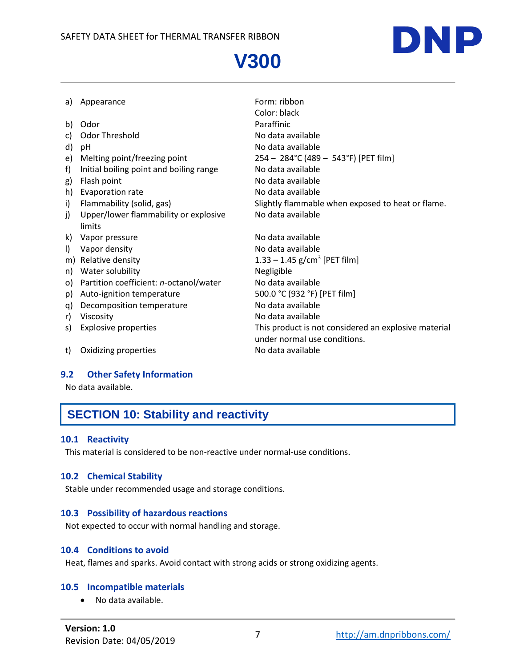

| a)      | Appearance                              | Form: ribbon                                         |
|---------|-----------------------------------------|------------------------------------------------------|
|         |                                         | Color: black                                         |
| b)      | Odor                                    | Paraffinic                                           |
| C)      | Odor Threshold                          | No data available                                    |
| d)      | рH                                      | No data available                                    |
| e)      | Melting point/freezing point            | 254 - 284°C (489 - 543°F) [PET film]                 |
| f)      | Initial boiling point and boiling range | No data available                                    |
| g)      | Flash point                             | No data available                                    |
| h)      | Evaporation rate                        | No data available                                    |
| i)      | Flammability (solid, gas)               | Slightly flammable when exposed to heat or flame.    |
| j)      | Upper/lower flammability or explosive   | No data available                                    |
|         | limits                                  |                                                      |
| k)      | Vapor pressure                          | No data available                                    |
| $\vert$ | Vapor density                           | No data available                                    |
|         | m) Relative density                     | 1.33 – 1.45 g/cm <sup>3</sup> [PET film]             |
| n)      | Water solubility                        | Negligible                                           |
| O)      | Partition coefficient: n-octanol/water  | No data available                                    |
| p)      | Auto-ignition temperature               | 500.0 °C (932 °F) [PET film]                         |
| q)      | Decomposition temperature               | No data available                                    |
| r)      | Viscosity                               | No data available                                    |
| S)      | <b>Explosive properties</b>             | This product is not considered an explosive material |
|         |                                         | under normal use conditions.                         |
| t)      | Oxidizing properties                    | No data available                                    |

## **9.2 Other Safety Information**

No data available.

# **SECTION 10: Stability and reactivity**

## **10.1 Reactivity**

This material is considered to be non-reactive under normal-use conditions.

## **10.2 Chemical Stability**

Stable under recommended usage and storage conditions.

### **10.3 Possibility of hazardous reactions**

Not expected to occur with normal handling and storage.

### **10.4 Conditions to avoid**

Heat, flames and sparks. Avoid contact with strong acids or strong oxidizing agents.

### **10.5 Incompatible materials**

No data available.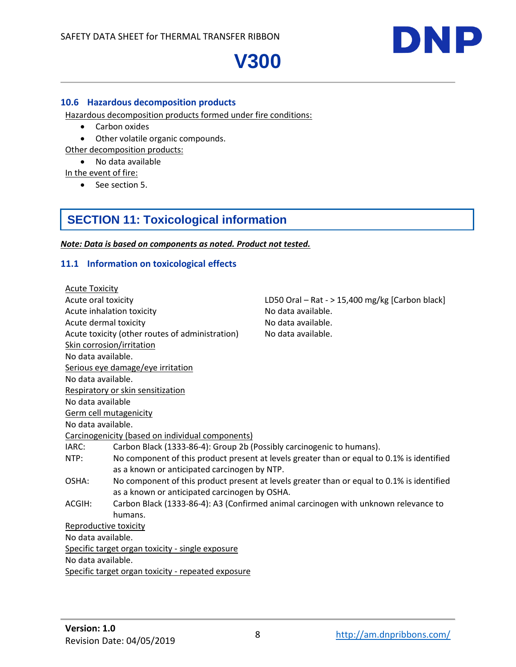

### **10.6 Hazardous decomposition products**

Hazardous decomposition products formed under fire conditions:

- Carbon oxides
- Other volatile organic compounds.
- Other decomposition products:
	- No data available

In the event of fire:

• See section 5.

# **SECTION 11: Toxicological information**

*Note: Data is based on components as noted. Product not tested.*

## **11.1 Information on toxicological effects**

| <b>Acute Toxicity</b>            |                                                                       |                                                                                            |
|----------------------------------|-----------------------------------------------------------------------|--------------------------------------------------------------------------------------------|
| Acute oral toxicity              |                                                                       | LD50 Oral $-$ Rat - $>$ 15,400 mg/kg [Carbon black]                                        |
| Acute inhalation toxicity        |                                                                       | No data available.                                                                         |
| Acute dermal toxicity            |                                                                       | No data available.                                                                         |
|                                  | Acute toxicity (other routes of administration)                       | No data available.                                                                         |
| <b>Skin corrosion/irritation</b> |                                                                       |                                                                                            |
| No data available.               |                                                                       |                                                                                            |
|                                  | Serious eye damage/eye irritation                                     |                                                                                            |
| No data available.               |                                                                       |                                                                                            |
|                                  | Respiratory or skin sensitization                                     |                                                                                            |
| No data available                |                                                                       |                                                                                            |
| <b>Germ cell mutagenicity</b>    |                                                                       |                                                                                            |
| No data available.               |                                                                       |                                                                                            |
|                                  | Carcinogenicity (based on individual components)                      |                                                                                            |
| IARC:                            | Carbon Black (1333-86-4): Group 2b (Possibly carcinogenic to humans). |                                                                                            |
| NTP:                             |                                                                       | No component of this product present at levels greater than or equal to 0.1% is identified |
|                                  | as a known or anticipated carcinogen by NTP.                          |                                                                                            |
| OSHA:                            |                                                                       | No component of this product present at levels greater than or equal to 0.1% is identified |
|                                  | as a known or anticipated carcinogen by OSHA.                         |                                                                                            |
| ACGIH:                           |                                                                       | Carbon Black (1333-86-4): A3 (Confirmed animal carcinogen with unknown relevance to        |
|                                  | humans.                                                               |                                                                                            |
| Reproductive toxicity            |                                                                       |                                                                                            |
| No data available.               |                                                                       |                                                                                            |
|                                  | Specific target organ toxicity - single exposure                      |                                                                                            |
| No data available.               |                                                                       |                                                                                            |
|                                  | Specific target organ toxicity - repeated exposure                    |                                                                                            |
|                                  |                                                                       |                                                                                            |

DNP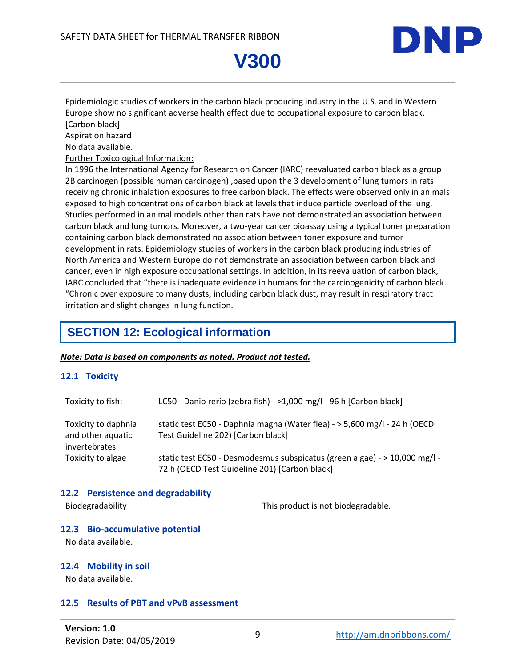

Epidemiologic studies of workers in the carbon black producing industry in the U.S. and in Western Europe show no significant adverse health effect due to occupational exposure to carbon black. [Carbon black]

Aspiration hazard

No data available.

Further Toxicological Information:

In 1996 the International Agency for Research on Cancer (IARC) reevaluated carbon black as a group 2B carcinogen (possible human carcinogen) ,based upon the 3 development of lung tumors in rats receiving chronic inhalation exposures to free carbon black. The effects were observed only in animals exposed to high concentrations of carbon black at levels that induce particle overload of the lung. Studies performed in animal models other than rats have not demonstrated an association between carbon black and lung tumors. Moreover, a two-year cancer bioassay using a typical toner preparation containing carbon black demonstrated no association between toner exposure and tumor development in rats. Epidemiology studies of workers in the carbon black producing industries of North America and Western Europe do not demonstrate an association between carbon black and cancer, even in high exposure occupational settings. In addition, in its reevaluation of carbon black, IARC concluded that "there is inadequate evidence in humans for the carcinogenicity of carbon black. "Chronic over exposure to many dusts, including carbon black dust, may result in respiratory tract irritation and slight changes in lung function.

# **SECTION 12: Ecological information**

### *Note: Data is based on components as noted. Product not tested.*

## **12.1 Toxicity**

| Toxicity to fish:                                         | LC50 - Danio rerio (zebra fish) - >1,000 mg/l - 96 h [Carbon black]                                                         |
|-----------------------------------------------------------|-----------------------------------------------------------------------------------------------------------------------------|
| Toxicity to daphnia<br>and other aquatic<br>invertebrates | static test EC50 - Daphnia magna (Water flea) - > 5,600 mg/l - 24 h (OECD<br>Test Guideline 202) [Carbon black]             |
| Toxicity to algae                                         | static test EC50 - Desmodesmus subspicatus (green algae) - > 10,000 mg/l -<br>72 h (OECD Test Guideline 201) [Carbon black] |

### **12.2 Persistence and degradability**

Biodegradability This product is not biodegradable.

### **12.3 Bio-accumulative potential**

No data available.

### **12.4 Mobility in soil**

No data available.

## **12.5 Results of PBT and vPvB assessment**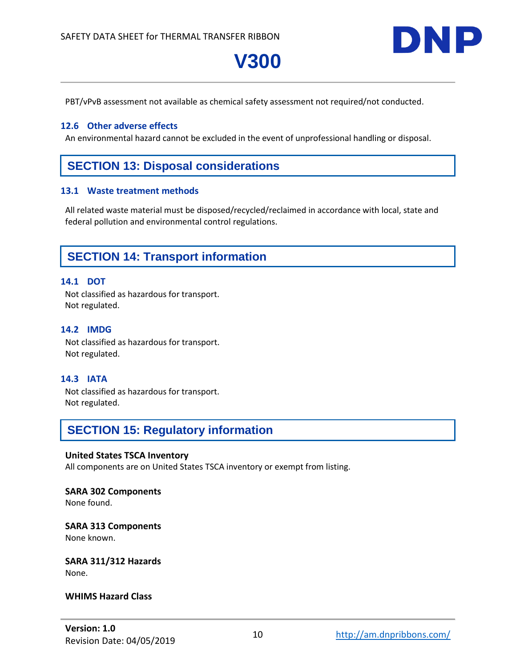

PBT/vPvB assessment not available as chemical safety assessment not required/not conducted.

**V300**

#### **12.6 Other adverse effects**

An environmental hazard cannot be excluded in the event of unprofessional handling or disposal.

# **SECTION 13: Disposal considerations**

#### **13.1 Waste treatment methods**

All related waste material must be disposed/recycled/reclaimed in accordance with local, state and federal pollution and environmental control regulations.

## **SECTION 14: Transport information**

#### **14.1 DOT**

Not classified as hazardous for transport. Not regulated.

### **14.2 IMDG**

Not classified as hazardous for transport. Not regulated.

### **14.3 IATA**

Not classified as hazardous for transport. Not regulated.

# **SECTION 15: Regulatory information**

#### **United States TSCA Inventory**

All components are on United States TSCA inventory or exempt from listing.

### **SARA 302 Components**

None found.

#### **SARA 313 Components** None known.

# **SARA 311/312 Hazards**

None.

#### **WHIMS Hazard Class**